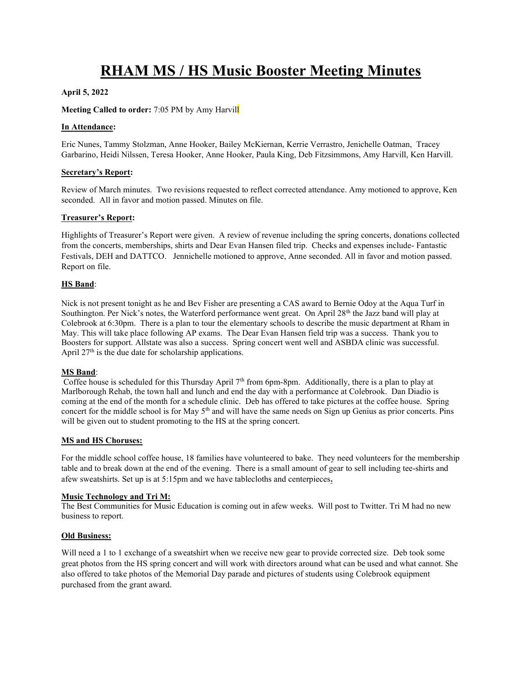# RHAM MS / HS Music Booster Meeting Minutes

# April 5, 2022

## Meeting Called to order: 7:05 PM by Amy Harvill

#### In Attendance:

Eric Nunes, Tammy Stolzman, Anne Hooker, Bailey McKiernan, Kerrie Verrastro, Jenichelle Oatman, Tracey Garbarino, Heidi Nilssen, Teresa Hooker, Anne Hooker, Paula King, Deb Fitzsimmons, Amy Harvill, Ken Harvill.

#### Secretary's Report:

Review of March minutes. Two revisions requested to reflect corrected attendance. Amy motioned to approve, Ken seconded. All in favor and motion passed. Minutes on file.

## Treasurer's Report:

Highlights of Treasurer's Report were given. A review of revenue including the spring concerts, donations collected from the concerts, memberships, shirts and Dear Evan Hansen filed trip. Checks and expenses include- Fantastic Festivals, DEH and DATTCO. Jennichelle motioned to approve, Anne seconded. All in favor and motion passed. Report on file.

## HS Band:

Nick is not present tonight as he and Bev Fisher are presenting a CAS award to Bernie Odoy at the Aqua Turf in Southington. Per Nick's notes, the Waterford performance went great. On April 28<sup>th</sup> the Jazz band will play at Colebrook at 6:30pm. There is a plan to tour the elementary schools to describe the music department at Rham in May. This will take place following AP exams. The Dear Evan Hansen field trip was a success. Thank you to Boosters for support. Allstate was also a success. Spring concert went well and ASBDA clinic was successful. April  $27<sup>th</sup>$  is the due date for scholarship applications.

#### MS Band:

Coffee house is scheduled for this Thursday April  $7<sup>th</sup>$  from 6pm-8pm. Additionally, there is a plan to play at Marlborough Rehab, the town hall and lunch and end the day with a performance at Colebrook. Dan Diadio is coming at the end of the month for a schedule clinic. Deb has offered to take pictures at the coffee house. Spring concert for the middle school is for May 5<sup>th</sup> and will have the same needs on Sign up Genius as prior concerts. Pins will be given out to student promoting to the HS at the spring concert.

# MS and HS Choruses:

For the middle school coffee house, 18 families have volunteered to bake. They need volunteers for the membership table and to break down at the end of the evening. There is a small amount of gear to sell including tee-shirts and afew sweatshirts. Set up is at 5:15pm and we have tablecloths and centerpieces.

# Music Technology and Tri M:

The Best Communities for Music Education is coming out in afew weeks. Will post to Twitter. Tri M had no new business to report.

#### Old Business:

Will need a 1 to 1 exchange of a sweatshirt when we receive new gear to provide corrected size. Deb took some great photos from the HS spring concert and will work with directors around what can be used and what cannot. She also offered to take photos of the Memorial Day parade and pictures of students using Colebrook equipment purchased from the grant award.